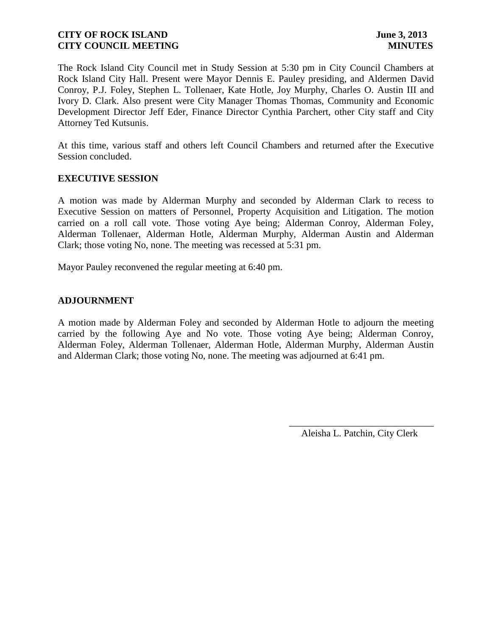The Rock Island City Council met in Study Session at 5:30 pm in City Council Chambers at Rock Island City Hall. Present were Mayor Dennis E. Pauley presiding, and Aldermen David Conroy, P.J. Foley, Stephen L. Tollenaer, Kate Hotle, Joy Murphy, Charles O. Austin III and Ivory D. Clark. Also present were City Manager Thomas Thomas, Community and Economic Development Director Jeff Eder, Finance Director Cynthia Parchert, other City staff and City Attorney Ted Kutsunis.

At this time, various staff and others left Council Chambers and returned after the Executive Session concluded.

### **EXECUTIVE SESSION**

A motion was made by Alderman Murphy and seconded by Alderman Clark to recess to Executive Session on matters of Personnel, Property Acquisition and Litigation. The motion carried on a roll call vote. Those voting Aye being; Alderman Conroy, Alderman Foley, Alderman Tollenaer, Alderman Hotle, Alderman Murphy, Alderman Austin and Alderman Clark; those voting No, none. The meeting was recessed at 5:31 pm.

Mayor Pauley reconvened the regular meeting at 6:40 pm.

# **ADJOURNMENT**

A motion made by Alderman Foley and seconded by Alderman Hotle to adjourn the meeting carried by the following Aye and No vote. Those voting Aye being; Alderman Conroy, Alderman Foley, Alderman Tollenaer, Alderman Hotle, Alderman Murphy, Alderman Austin and Alderman Clark; those voting No, none. The meeting was adjourned at 6:41 pm.

> \_\_\_\_\_\_\_\_\_\_\_\_\_\_\_\_\_\_\_\_\_\_\_\_\_\_\_\_\_\_ Aleisha L. Patchin, City Clerk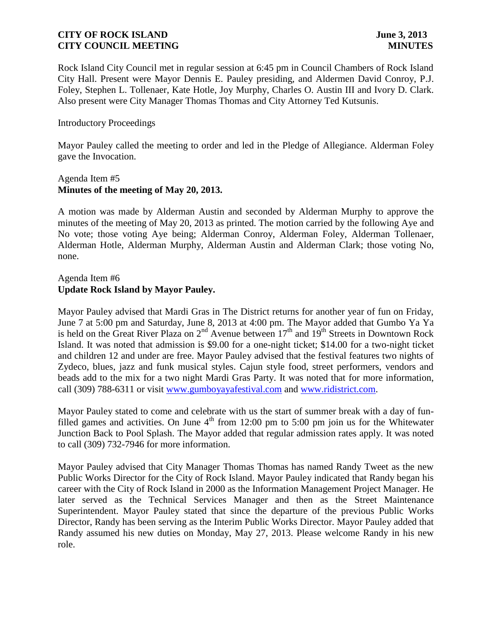Rock Island City Council met in regular session at 6:45 pm in Council Chambers of Rock Island City Hall. Present were Mayor Dennis E. Pauley presiding, and Aldermen David Conroy, P.J. Foley, Stephen L. Tollenaer, Kate Hotle, Joy Murphy, Charles O. Austin III and Ivory D. Clark. Also present were City Manager Thomas Thomas and City Attorney Ted Kutsunis.

### Introductory Proceedings

Mayor Pauley called the meeting to order and led in the Pledge of Allegiance. Alderman Foley gave the Invocation.

### Agenda Item #5 **Minutes of the meeting of May 20, 2013.**

A motion was made by Alderman Austin and seconded by Alderman Murphy to approve the minutes of the meeting of May 20, 2013 as printed. The motion carried by the following Aye and No vote; those voting Aye being; Alderman Conroy, Alderman Foley, Alderman Tollenaer, Alderman Hotle, Alderman Murphy, Alderman Austin and Alderman Clark; those voting No, none.

# Agenda Item #6 **Update Rock Island by Mayor Pauley.**

Mayor Pauley advised that Mardi Gras in The District returns for another year of fun on Friday, June 7 at 5:00 pm and Saturday, June 8, 2013 at 4:00 pm. The Mayor added that Gumbo Ya Ya is held on the Great River Plaza on  $2^{nd}$  Avenue between  $17^{th}$  and  $19^{th}$  Streets in Downtown Rock Island. It was noted that admission is \$9.00 for a one-night ticket; \$14.00 for a two-night ticket and children 12 and under are free. Mayor Pauley advised that the festival features two nights of Zydeco, blues, jazz and funk musical styles. Cajun style food, street performers, vendors and beads add to the mix for a two night Mardi Gras Party. It was noted that for more information, call (309) 788-6311 or visit [www.gumboyayafestival.com](http://www.gumboyayafestival.com/) and [www.ridistrict.com.](http://www.ridistrict.com/)

Mayor Pauley stated to come and celebrate with us the start of summer break with a day of funfilled games and activities. On June  $4<sup>th</sup>$  from 12:00 pm to 5:00 pm join us for the Whitewater Junction Back to Pool Splash. The Mayor added that regular admission rates apply. It was noted to call (309) 732-7946 for more information.

Mayor Pauley advised that City Manager Thomas Thomas has named Randy Tweet as the new Public Works Director for the City of Rock Island. Mayor Pauley indicated that Randy began his career with the City of Rock Island in 2000 as the Information Management Project Manager. He later served as the Technical Services Manager and then as the Street Maintenance Superintendent. Mayor Pauley stated that since the departure of the previous Public Works Director, Randy has been serving as the Interim Public Works Director. Mayor Pauley added that Randy assumed his new duties on Monday, May 27, 2013. Please welcome Randy in his new role.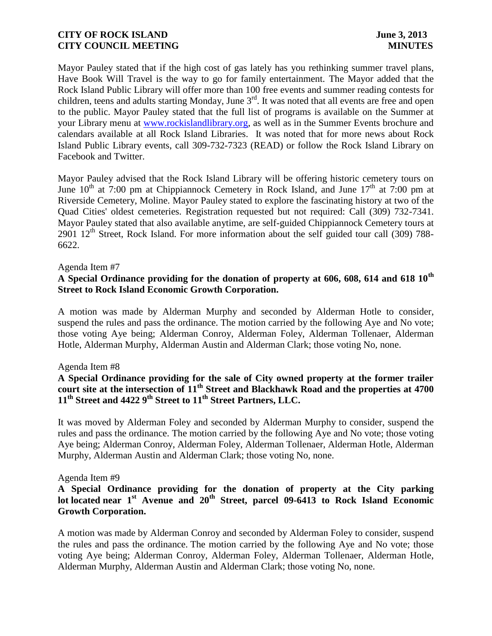Mayor Pauley stated that if the high cost of gas lately has you rethinking summer travel plans, Have Book Will Travel is the way to go for family entertainment. The Mayor added that the Rock Island Public Library will offer more than 100 free events and summer reading contests for children, teens and adults starting Monday, June  $3<sup>rd</sup>$ . It was noted that all events are free and open to the public. Mayor Pauley stated that the full list of programs is available on the Summer at your Library menu at [www.rockislandlibrary.org,](http://www.rockislandlibrary.org/) as well as in the Summer Events brochure and calendars available at all Rock Island Libraries. It was noted that for more news about Rock Island Public Library events, call 309-732-7323 (READ) or follow the Rock Island Library on Facebook and Twitter.

Mayor Pauley advised that the Rock Island Library will be offering historic cemetery tours on June  $10^{th}$  at 7:00 pm at Chippiannock Cemetery in Rock Island, and June  $17^{th}$  at 7:00 pm at Riverside Cemetery, Moline. Mayor Pauley stated to explore the fascinating history at two of the Quad Cities' oldest cemeteries. Registration requested but not required: Call (309) 732-7341. Mayor Pauley stated that also available anytime, are self-guided Chippiannock Cemetery tours at 2901  $12<sup>th</sup>$  Street, Rock Island. For more information about the self guided tour call (309) 788-6622.

#### Agenda Item #7

# **A Special Ordinance providing for the donation of property at 606, 608, 614 and 618 10th Street to Rock Island Economic Growth Corporation.**

A motion was made by Alderman Murphy and seconded by Alderman Hotle to consider, suspend the rules and pass the ordinance. The motion carried by the following Aye and No vote; those voting Aye being; Alderman Conroy, Alderman Foley, Alderman Tollenaer, Alderman Hotle, Alderman Murphy, Alderman Austin and Alderman Clark; those voting No, none.

### Agenda Item #8

# **A Special Ordinance providing for the sale of City owned property at the former trailer court site at the intersection of 11th Street and Blackhawk Road and the properties at 4700 11th Street and 4422 9th Street to 11th Street Partners, LLC.**

It was moved by Alderman Foley and seconded by Alderman Murphy to consider, suspend the rules and pass the ordinance. The motion carried by the following Aye and No vote; those voting Aye being; Alderman Conroy, Alderman Foley, Alderman Tollenaer, Alderman Hotle, Alderman Murphy, Alderman Austin and Alderman Clark; those voting No, none.

#### Agenda Item #9

# **A Special Ordinance providing for the donation of property at the City parking lot located near 1st Avenue and 20th Street, parcel 09-6413 to Rock Island Economic Growth Corporation.**

A motion was made by Alderman Conroy and seconded by Alderman Foley to consider, suspend the rules and pass the ordinance. The motion carried by the following Aye and No vote; those voting Aye being; Alderman Conroy, Alderman Foley, Alderman Tollenaer, Alderman Hotle, Alderman Murphy, Alderman Austin and Alderman Clark; those voting No, none.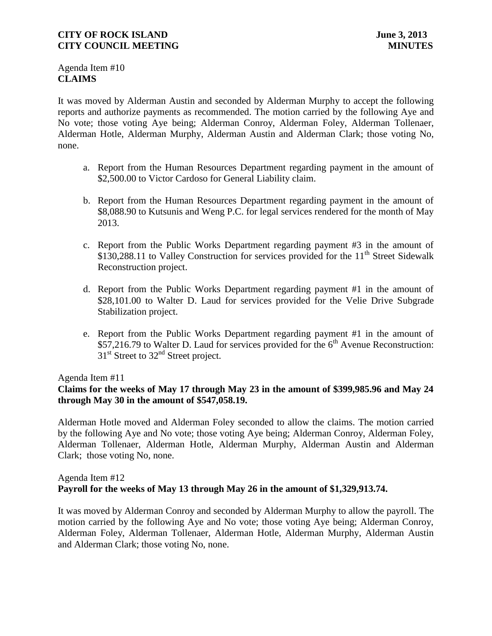Agenda Item #10 **CLAIMS**

It was moved by Alderman Austin and seconded by Alderman Murphy to accept the following reports and authorize payments as recommended. The motion carried by the following Aye and No vote; those voting Aye being; Alderman Conroy, Alderman Foley, Alderman Tollenaer, Alderman Hotle, Alderman Murphy, Alderman Austin and Alderman Clark; those voting No, none.

- a. Report from the Human Resources Department regarding payment in the amount of \$2,500.00 to Victor Cardoso for General Liability claim.
- b. Report from the Human Resources Department regarding payment in the amount of \$8,088.90 to Kutsunis and Weng P.C. for legal services rendered for the month of May 2013.
- c. Report from the Public Works Department regarding payment #3 in the amount of \$130,288.11 to Valley Construction for services provided for the  $11<sup>th</sup>$  Street Sidewalk Reconstruction project.
- d. Report from the Public Works Department regarding payment #1 in the amount of \$28,101.00 to Walter D. Laud for services provided for the Velie Drive Subgrade Stabilization project.
- e. Report from the Public Works Department regarding payment #1 in the amount of  $$57,216.79$  to Walter D. Laud for services provided for the 6<sup>th</sup> Avenue Reconstruction:  $31<sup>st</sup>$  Street to  $32<sup>nd</sup>$  Street project.

### Agenda Item #11

# **Claims for the weeks of May 17 through May 23 in the amount of \$399,985.96 and May 24 through May 30 in the amount of \$547,058.19.**

 Alderman Hotle moved and Alderman Foley seconded to allow the claims. The motion carried by the following Aye and No vote; those voting Aye being; Alderman Conroy, Alderman Foley, Alderman Tollenaer, Alderman Hotle, Alderman Murphy, Alderman Austin and Alderman Clark; those voting No, none.

### Agenda Item #12 **Payroll for the weeks of May 13 through May 26 in the amount of \$1,329,913.74.**

It was moved by Alderman Conroy and seconded by Alderman Murphy to allow the payroll. The motion carried by the following Aye and No vote; those voting Aye being; Alderman Conroy, Alderman Foley, Alderman Tollenaer, Alderman Hotle, Alderman Murphy, Alderman Austin and Alderman Clark; those voting No, none.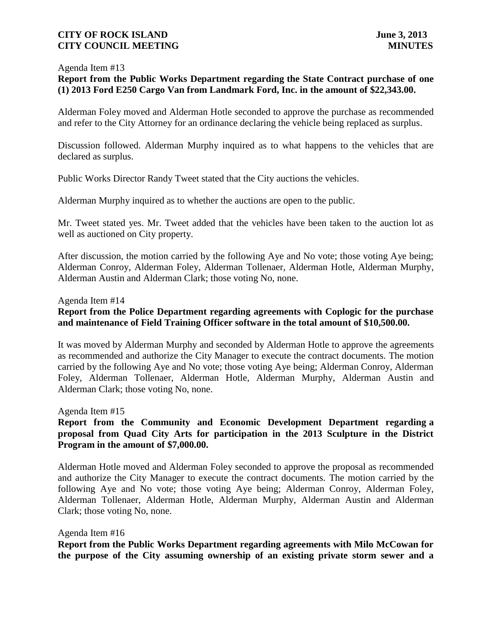#### Agenda Item #13

# **Report from the Public Works Department regarding the State Contract purchase of one (1) 2013 Ford E250 Cargo Van from Landmark Ford, Inc. in the amount of \$22,343.00.**

Alderman Foley moved and Alderman Hotle seconded to approve the purchase as recommended and refer to the City Attorney for an ordinance declaring the vehicle being replaced as surplus.

Discussion followed. Alderman Murphy inquired as to what happens to the vehicles that are declared as surplus.

Public Works Director Randy Tweet stated that the City auctions the vehicles.

Alderman Murphy inquired as to whether the auctions are open to the public.

Mr. Tweet stated yes. Mr. Tweet added that the vehicles have been taken to the auction lot as well as auctioned on City property.

After discussion, the motion carried by the following Aye and No vote; those voting Aye being; Alderman Conroy, Alderman Foley, Alderman Tollenaer, Alderman Hotle, Alderman Murphy, Alderman Austin and Alderman Clark; those voting No, none.

#### Agenda Item #14

# **Report from the Police Department regarding agreements with Coplogic for the purchase and maintenance of Field Training Officer software in the total amount of \$10,500.00.**

It was moved by Alderman Murphy and seconded by Alderman Hotle to approve the agreements as recommended and authorize the City Manager to execute the contract documents. The motion carried by the following Aye and No vote; those voting Aye being; Alderman Conroy, Alderman Foley, Alderman Tollenaer, Alderman Hotle, Alderman Murphy, Alderman Austin and Alderman Clark; those voting No, none.

Agenda Item #15

# **Report from the Community and Economic Development Department regarding a proposal from Quad City Arts for participation in the 2013 Sculpture in the District Program in the amount of \$7,000.00.**

Alderman Hotle moved and Alderman Foley seconded to approve the proposal as recommended and authorize the City Manager to execute the contract documents. The motion carried by the following Aye and No vote; those voting Aye being; Alderman Conroy, Alderman Foley, Alderman Tollenaer, Alderman Hotle, Alderman Murphy, Alderman Austin and Alderman Clark; those voting No, none.

Agenda Item #16

**Report from the Public Works Department regarding agreements with Milo McCowan for the purpose of the City assuming ownership of an existing private storm sewer and a**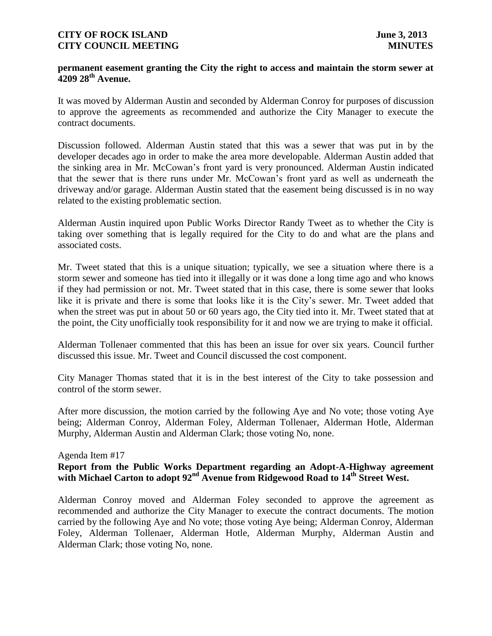### **permanent easement granting the City the right to access and maintain the storm sewer at 4209 28th Avenue.**

It was moved by Alderman Austin and seconded by Alderman Conroy for purposes of discussion to approve the agreements as recommended and authorize the City Manager to execute the contract documents.

Discussion followed. Alderman Austin stated that this was a sewer that was put in by the developer decades ago in order to make the area more developable. Alderman Austin added that the sinking area in Mr. McCowan's front yard is very pronounced. Alderman Austin indicated that the sewer that is there runs under Mr. McCowan's front yard as well as underneath the driveway and/or garage. Alderman Austin stated that the easement being discussed is in no way related to the existing problematic section.

Alderman Austin inquired upon Public Works Director Randy Tweet as to whether the City is taking over something that is legally required for the City to do and what are the plans and associated costs.

Mr. Tweet stated that this is a unique situation; typically, we see a situation where there is a storm sewer and someone has tied into it illegally or it was done a long time ago and who knows if they had permission or not. Mr. Tweet stated that in this case, there is some sewer that looks like it is private and there is some that looks like it is the City's sewer. Mr. Tweet added that when the street was put in about 50 or 60 years ago, the City tied into it. Mr. Tweet stated that at the point, the City unofficially took responsibility for it and now we are trying to make it official.

Alderman Tollenaer commented that this has been an issue for over six years. Council further discussed this issue. Mr. Tweet and Council discussed the cost component.

City Manager Thomas stated that it is in the best interest of the City to take possession and control of the storm sewer.

After more discussion, the motion carried by the following Aye and No vote; those voting Aye being; Alderman Conroy, Alderman Foley, Alderman Tollenaer, Alderman Hotle, Alderman Murphy, Alderman Austin and Alderman Clark; those voting No, none.

### Agenda Item #17

### **Report from the Public Works Department regarding an Adopt-A-Highway agreement with Michael Carton to adopt 92nd Avenue from Ridgewood Road to 14th Street West.**

Alderman Conroy moved and Alderman Foley seconded to approve the agreement as recommended and authorize the City Manager to execute the contract documents. The motion carried by the following Aye and No vote; those voting Aye being; Alderman Conroy, Alderman Foley, Alderman Tollenaer, Alderman Hotle, Alderman Murphy, Alderman Austin and Alderman Clark; those voting No, none.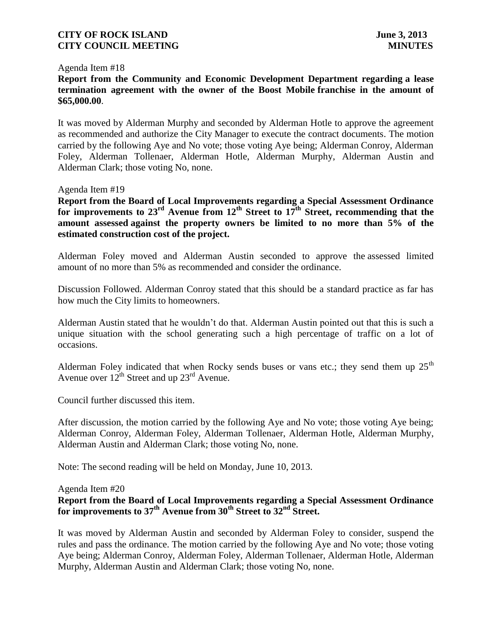#### Agenda Item #18

**Report from the Community and Economic Development Department regarding a lease termination agreement with the owner of the Boost Mobile franchise in the amount of \$65,000.00**.

It was moved by Alderman Murphy and seconded by Alderman Hotle to approve the agreement as recommended and authorize the City Manager to execute the contract documents. The motion carried by the following Aye and No vote; those voting Aye being; Alderman Conroy, Alderman Foley, Alderman Tollenaer, Alderman Hotle, Alderman Murphy, Alderman Austin and Alderman Clark; those voting No, none.

Agenda Item #19

**Report from the Board of Local Improvements regarding a Special Assessment Ordinance for improvements to 23rd Avenue from 12th Street to 17th Street, recommending that the amount assessed against the property owners be limited to no more than 5% of the estimated construction cost of the project.**

Alderman Foley moved and Alderman Austin seconded to approve the assessed limited amount of no more than 5% as recommended and consider the ordinance.

Discussion Followed. Alderman Conroy stated that this should be a standard practice as far has how much the City limits to homeowners.

Alderman Austin stated that he wouldn't do that. Alderman Austin pointed out that this is such a unique situation with the school generating such a high percentage of traffic on a lot of occasions.

Alderman Foley indicated that when Rocky sends buses or vans etc.; they send them up  $25<sup>th</sup>$ Avenue over  $12^{th}$  Street and up  $23^{rd}$  Avenue.

Council further discussed this item.

After discussion, the motion carried by the following Aye and No vote; those voting Aye being; Alderman Conroy, Alderman Foley, Alderman Tollenaer, Alderman Hotle, Alderman Murphy, Alderman Austin and Alderman Clark; those voting No, none.

Note: The second reading will be held on Monday, June 10, 2013.

#### Agenda Item #20

# **Report from the Board of Local Improvements regarding a Special Assessment Ordinance for improvements to 37th Avenue from 30th Street to 32nd Street.**

It was moved by Alderman Austin and seconded by Alderman Foley to consider, suspend the rules and pass the ordinance. The motion carried by the following Aye and No vote; those voting Aye being; Alderman Conroy, Alderman Foley, Alderman Tollenaer, Alderman Hotle, Alderman Murphy, Alderman Austin and Alderman Clark; those voting No, none.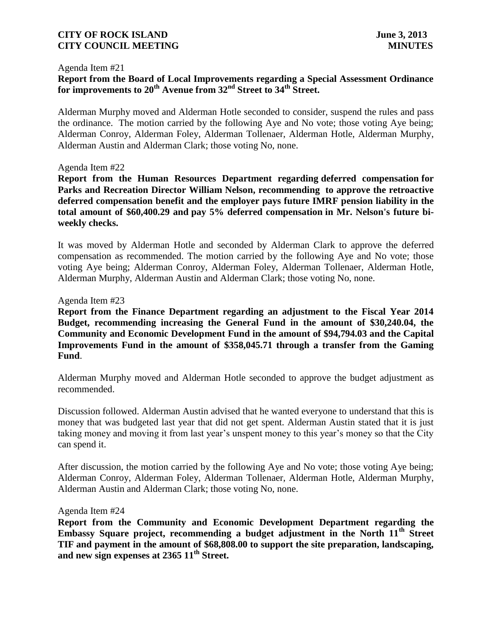#### Agenda Item #21

# **Report from the Board of Local Improvements regarding a Special Assessment Ordinance for improvements to 20th Avenue from 32nd Street to 34th Street.**

Alderman Murphy moved and Alderman Hotle seconded to consider, suspend the rules and pass the ordinance. The motion carried by the following Aye and No vote; those voting Aye being; Alderman Conroy, Alderman Foley, Alderman Tollenaer, Alderman Hotle, Alderman Murphy, Alderman Austin and Alderman Clark; those voting No, none.

#### Agenda Item #22

**Report from the Human Resources Department regarding deferred compensation for Parks and Recreation Director William Nelson, recommending to approve the retroactive deferred compensation benefit and the employer pays future IMRF pension liability in the total amount of \$60,400.29 and pay 5% deferred compensation in Mr. Nelson's future biweekly checks.** 

It was moved by Alderman Hotle and seconded by Alderman Clark to approve the deferred compensation as recommended. The motion carried by the following Aye and No vote; those voting Aye being; Alderman Conroy, Alderman Foley, Alderman Tollenaer, Alderman Hotle, Alderman Murphy, Alderman Austin and Alderman Clark; those voting No, none.

#### Agenda Item #23

**Report from the Finance Department regarding an adjustment to the Fiscal Year 2014 Budget, recommending increasing the General Fund in the amount of \$30,240.04, the Community and Economic Development Fund in the amount of \$94,794.03 and the Capital Improvements Fund in the amount of \$358,045.71 through a transfer from the Gaming Fund**.

Alderman Murphy moved and Alderman Hotle seconded to approve the budget adjustment as recommended.

Discussion followed. Alderman Austin advised that he wanted everyone to understand that this is money that was budgeted last year that did not get spent. Alderman Austin stated that it is just taking money and moving it from last year's unspent money to this year's money so that the City can spend it.

After discussion, the motion carried by the following Aye and No vote; those voting Aye being; Alderman Conroy, Alderman Foley, Alderman Tollenaer, Alderman Hotle, Alderman Murphy, Alderman Austin and Alderman Clark; those voting No, none.

#### Agenda Item #24

**Report from the Community and Economic Development Department regarding the Embassy Square project, recommending a budget adjustment in the North 11th Street TIF and payment in the amount of \$68,808.00 to support the site preparation, landscaping, and new sign expenses at 2365 11th Street.**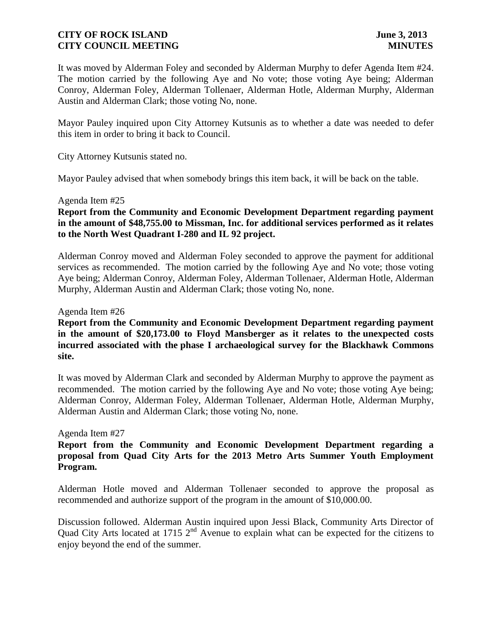It was moved by Alderman Foley and seconded by Alderman Murphy to defer Agenda Item #24. The motion carried by the following Aye and No vote; those voting Aye being; Alderman Conroy, Alderman Foley, Alderman Tollenaer, Alderman Hotle, Alderman Murphy, Alderman Austin and Alderman Clark; those voting No, none.

Mayor Pauley inquired upon City Attorney Kutsunis as to whether a date was needed to defer this item in order to bring it back to Council.

City Attorney Kutsunis stated no.

Mayor Pauley advised that when somebody brings this item back, it will be back on the table.

#### Agenda Item #25

**Report from the Community and Economic Development Department regarding payment in the amount of \$48,755.00 to Missman, Inc. for additional services performed as it relates to the North West Quadrant I-280 and IL 92 project.**

Alderman Conroy moved and Alderman Foley seconded to approve the payment for additional services as recommended. The motion carried by the following Aye and No vote; those voting Aye being; Alderman Conroy, Alderman Foley, Alderman Tollenaer, Alderman Hotle, Alderman Murphy, Alderman Austin and Alderman Clark; those voting No, none.

#### Agenda Item #26

**Report from the Community and Economic Development Department regarding payment in the amount of \$20,173.00 to Floyd Mansberger as it relates to the unexpected costs incurred associated with the phase I archaeological survey for the Blackhawk Commons site.**

It was moved by Alderman Clark and seconded by Alderman Murphy to approve the payment as recommended. The motion carried by the following Aye and No vote; those voting Aye being; Alderman Conroy, Alderman Foley, Alderman Tollenaer, Alderman Hotle, Alderman Murphy, Alderman Austin and Alderman Clark; those voting No, none.

#### Agenda Item #27

# **Report from the Community and Economic Development Department regarding a proposal from Quad City Arts for the 2013 Metro Arts Summer Youth Employment Program.**

Alderman Hotle moved and Alderman Tollenaer seconded to approve the proposal as recommended and authorize support of the program in the amount of \$10,000.00.

Discussion followed. Alderman Austin inquired upon Jessi Black, Community Arts Director of Quad City Arts located at 1715 2<sup>nd</sup> Avenue to explain what can be expected for the citizens to enjoy beyond the end of the summer.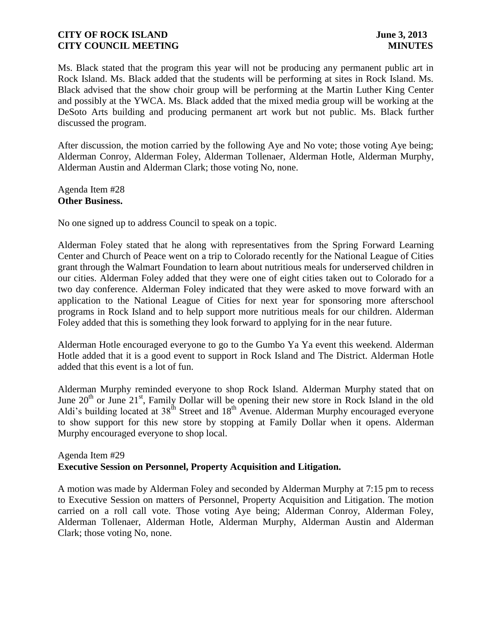Ms. Black stated that the program this year will not be producing any permanent public art in Rock Island. Ms. Black added that the students will be performing at sites in Rock Island. Ms. Black advised that the show choir group will be performing at the Martin Luther King Center and possibly at the YWCA. Ms. Black added that the mixed media group will be working at the DeSoto Arts building and producing permanent art work but not public. Ms. Black further discussed the program.

After discussion, the motion carried by the following Aye and No vote; those voting Aye being; Alderman Conroy, Alderman Foley, Alderman Tollenaer, Alderman Hotle, Alderman Murphy, Alderman Austin and Alderman Clark; those voting No, none.

Agenda Item #28 **Other Business.**

No one signed up to address Council to speak on a topic.

Alderman Foley stated that he along with representatives from the Spring Forward Learning Center and Church of Peace went on a trip to Colorado recently for the National League of Cities grant through the Walmart Foundation to learn about nutritious meals for underserved children in our cities. Alderman Foley added that they were one of eight cities taken out to Colorado for a two day conference. Alderman Foley indicated that they were asked to move forward with an application to the National League of Cities for next year for sponsoring more afterschool programs in Rock Island and to help support more nutritious meals for our children. Alderman Foley added that this is something they look forward to applying for in the near future.

Alderman Hotle encouraged everyone to go to the Gumbo Ya Ya event this weekend. Alderman Hotle added that it is a good event to support in Rock Island and The District. Alderman Hotle added that this event is a lot of fun.

Alderman Murphy reminded everyone to shop Rock Island. Alderman Murphy stated that on June  $20<sup>th</sup>$  or June  $21<sup>st</sup>$ , Family Dollar will be opening their new store in Rock Island in the old Aldi's building located at  $38^{th}$  Street and  $18^{th}$  Avenue. Alderman Murphy encouraged everyone to show support for this new store by stopping at Family Dollar when it opens. Alderman Murphy encouraged everyone to shop local.

### Agenda Item #29 **Executive Session on Personnel, Property Acquisition and Litigation.**

A motion was made by Alderman Foley and seconded by Alderman Murphy at 7:15 pm to recess to Executive Session on matters of Personnel, Property Acquisition and Litigation. The motion carried on a roll call vote. Those voting Aye being; Alderman Conroy, Alderman Foley, Alderman Tollenaer, Alderman Hotle, Alderman Murphy, Alderman Austin and Alderman Clark; those voting No, none.